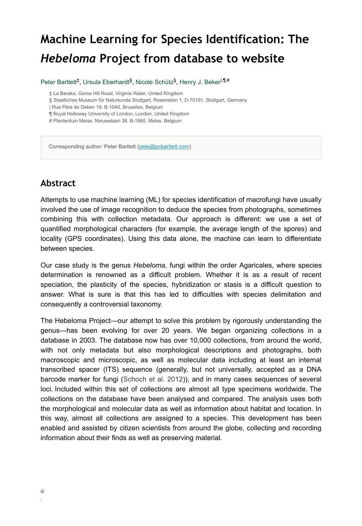# **Machine Learning for Species Identification: The**  *Hebeloma* **Project from database to website**

Peter Bartlett<sup>‡</sup>, Ursula Eberhardt<sup>§</sup>, Nicole Schütz<sup>§</sup>, Henry J. Beker<sup>|,¶,#</sup>

‡ La Baraka, Gorse Hill Road, Virginia Water, United Kingdom

§ Staatliches Museum für Naturkunde Stuttgart, Rosenstein 1, D-70191, Stuttgart, Germany

| Rue Père de Deken 19, B-1040, Bruxelles, Belgium

¶ Royal Holloway University of London, London, United Kingdom

# Plantentuin Meise, Nieuwelaan 38, B-1860, Meise, Belgium

Corresponding author: Peter Bartlett ([pete@pcbartlett.com](mailto:pete@pcbartlett.com))

# **Abstract**

Attempts to use machine learning (ML) for species identification of macrofungi have usually involved the use of image recognition to deduce the species from photographs, sometimes combining this with collection metadata. Our approach is different: we use a set of quantified morphological characters (for example, the average length of the spores) and locality (GPS coordinates). Using this data alone, the machine can learn to differentiate between species.

Our case study is the genus *Hebeloma*, fungi within the order Agaricales, where species determination is renowned as a difficult problem. Whether it is as a result of recent speciation, the plasticity of the species, hybridization or stasis is a difficult question to answer. What is sure is that this has led to difficulties with species delimitation and consequently a controversial taxonomy.

The Hebeloma Project—our attempt to solve this problem by rigorously understanding the genus—has been evolving for over 20 years. We began organizing collections in a database in 2003. The database now has over 10,000 collections, from around the world, with not only metadata but also morphological descriptions and photographs, both macroscopic and microscopic, as well as molecular data including at least an internal transcribed spacer (ITS) sequence (generally, but not universally, accepted as a DNA barcode marker for fungi [\(Schoch et al. 2012](#page-1-0))), and in many cases sequences of several loci. Included within this set of collections are almost all type specimens worldwide. The collections on the database have been analysed and compared. The analysis uses both the morphological and molecular data as well as information about habitat and location. In this way, almost all collections are assigned to a species. This development has been enabled and assisted by citizen scientists from around the globe, collecting and recording information about their finds as well as preserving material.